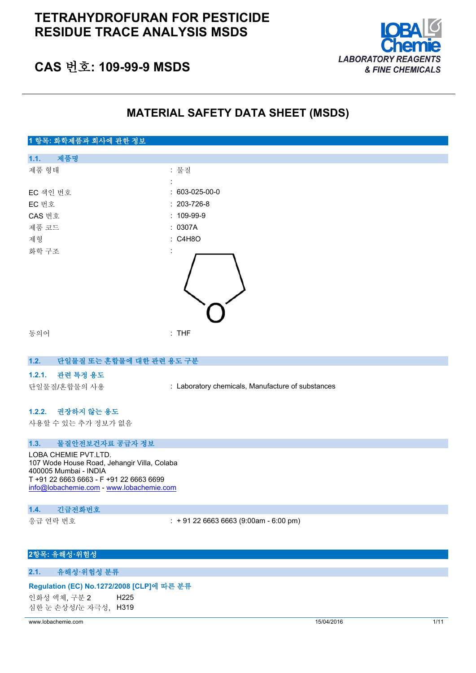# **TETRAHYDROFURAN FOR PESTICIDE RESIDUE TRACE ANALYSIS MSDS**



# **CAS 번호: 109-99-9 MSDS**

# **MATERIAL SAFETY DATA SHEET (MSDS)**



#### **1.2. 단일물질 또는 혼합물에 대한 관련 용도 구분**

### **1.2.1. 관련 특정 용도**

단일물질/혼합물의 사용 : Laboratory chemicals, Manufacture of substances

### **1.2.2. 권장하지 않는 용도**

사용할 수 있는 추가 정보가 없음

#### **1.3. 물질안전보건자료 공급자 정보**

LOBA CHEMIE PVT.LTD. 107 Wode House Road, Jehangir Villa, Colaba 400005 Mumbai - INDIA T +91 22 6663 6663 - F +91 22 6663 6699 [info@lobachemie.com](mailto:info@lobachemie.com) - <www.lobachemie.com>

### **1.4. 긴급전화번호**

응급 연락 번호 : + 91 22 6663 6663 (9:00am - 6:00 pm)

## **2항목: 유해성·위험성**

### **2.1. 유해성·위험성 분류**

#### **Regulation (EC) No.1272/2008 [CLP]에 따른 분류**

인화성 액체, 구분 2 H225 심한 눈 손상성/눈 자극성, H319

www.lobachemie.com 15/04/2016 1/11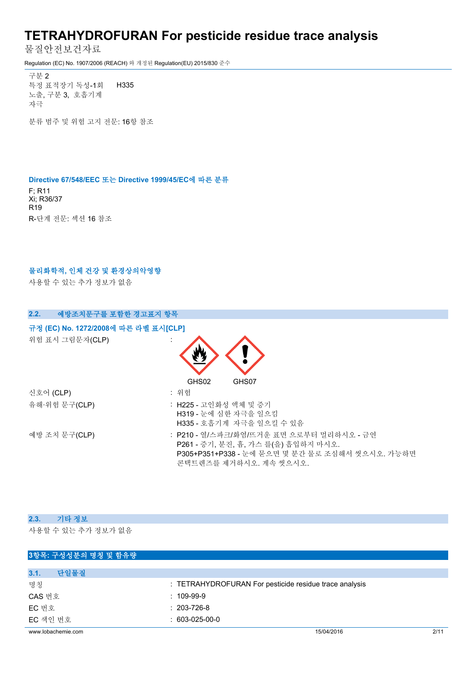물질안전보건자료

Regulation (EC) No. 1907/2006 (REACH) 와 개정된 Regulation(EU) 2015/830 준수

구분 2 특정 표적장기 독성-1회 노출, 구분 3, 호흡기계 자극 H335

분류 범주 및 위험 고지 전문: 16항 참조

#### **Directive 67/548/EEC 또는 Directive 1999/45/EC에 따른 분류**

F; R11 Xi; R36/37 R19 R-단계 전문: 섹션 16 참조

### **물리화학적, 인체 건강 및 환경상의악영향**

사용할 수 있는 추가 정보가 없음

| 예방조치문구를 포함한 경고표지 항목<br>2.2.          |                                                                                                                                                              |
|--------------------------------------|--------------------------------------------------------------------------------------------------------------------------------------------------------------|
| 규정 (EC) No. 1272/2008에 따른 라벨 표시[CLP] |                                                                                                                                                              |
| 위험 표시 그림문자(CLP)                      |                                                                                                                                                              |
|                                      | GHS02<br>GHS07                                                                                                                                               |
| 신호어 (CLP)                            | : 위험                                                                                                                                                         |
| 유해·위험 문구(CLP)                        | : H225 - 고인화성 액체 및 증기<br>H319 - 눈에 심한 자극을 일으킴<br>H335 - 호흡기계 자극을 일으킬 수 있음                                                                                    |
| 예방 조치 문구(CLP)                        | : P210 - 열/스파크/화염/뜨거운 표면 으로부터 멀리하시오 - 금연<br>P261 - 증기, 분진, 흄, 가스 를(을) 흡입하지 마시오.<br>P305+P351+P338 - 눈에 묻으면 몇 분간 물로 조심해서 씻으시오. 가능하면<br>콘택트렌즈를 제거하시오. 계속 씻으시오. |

#### **2.3. 기타 정보**

사용할 수 있는 추가 정보가 없음

| 3항목: 구성성분의 명칭 및 함유량 |                                                        |      |
|---------------------|--------------------------------------------------------|------|
|                     |                                                        |      |
| 단일물질<br>3.1.        |                                                        |      |
| 명칭                  | : TETRAHYDROFURAN For pesticide residue trace analysis |      |
| CAS 번호              | $: 109-99-9$                                           |      |
| EC 번호               | $: 203 - 726 - 8$                                      |      |
| EC 색인 번호            | $: 603-025-00-0$                                       |      |
| www.lobachemie.com  | 15/04/2016                                             | 2/11 |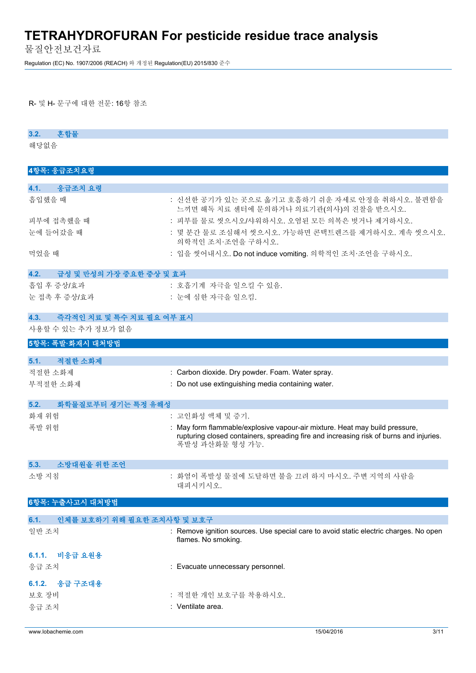물질안전보건자료

Regulation (EC) No. 1907/2006 (REACH) 와 개정된 Regulation(EU) 2015/830 준수

R- 및 H- 문구에 대한 전문: 16항 참조

### **3.2. 혼합물**

해당없음

| 4항목: 응급조치요령                        |                                                                                                                                                                                          |
|------------------------------------|------------------------------------------------------------------------------------------------------------------------------------------------------------------------------------------|
|                                    |                                                                                                                                                                                          |
| 응급조치 요령<br>4.1.                    |                                                                                                                                                                                          |
| 흡입했을 때                             | : 신선한 공기가 있는 곳으로 옮기고 호흡하기 쉬운 자세로 안정을 취하시오. 불편함을<br>느끼면 해독 치료 센터에 문의하거나 의료기관(의사)의 진찰을 받으시오.                                                                                               |
| 피부에 접촉했을 때                         | : 피부를 물로 씻으시오/샤워하시오. 오염된 모든 의복은 벗거나 제거하시오.                                                                                                                                               |
| 눈에 들어갔을 때                          | : 몇 분간 물로 조심해서 씻으시오. 가능하면 콘택트렌즈를 제거하시오. 계속 씻으시오.<br>의학적인 조치·조언을 구하시오.                                                                                                                    |
| 먹었을 때                              | : 입을 씻어내시오. Do not induce vomiting. 의학적인 조치·조언을 구하시오.                                                                                                                                    |
| 4.2.<br>급성 및 만성의 가장 중요한 중상 및 효과    |                                                                                                                                                                                          |
| 흡입 후 증상/효과                         | : 호흡기계 자극을 일으킬 수 있음.                                                                                                                                                                     |
| 눈 접촉 후 증상/효과                       | : 눈에 심한 자극을 일으킴.                                                                                                                                                                         |
| 즉각적인 치료 및 특수 치료 필요 여부 표시<br>4.3.   |                                                                                                                                                                                          |
| 사용할 수 있는 추가 정보가 없음                 |                                                                                                                                                                                          |
| 5항목: 폭발·화재시 대처방법                   |                                                                                                                                                                                          |
|                                    |                                                                                                                                                                                          |
| 적절한 소화제<br>5.1.                    |                                                                                                                                                                                          |
| 적절한 소화제                            | : Carbon dioxide. Dry powder. Foam. Water spray.                                                                                                                                         |
| 부적절한 소화제                           | : Do not use extinguishing media containing water.                                                                                                                                       |
| 화학물질로부터 생기는 특정 유해성<br>5.2.         |                                                                                                                                                                                          |
| 화재 위험                              | : 고인화성 액체 및 증기.                                                                                                                                                                          |
| 폭발 위험                              | : May form flammable/explosive vapour-air mixture. Heat may build pressure,<br>rupturing closed containers, spreading fire and increasing risk of burns and injuries.<br>폭발성 과산화물 형성 가능. |
| 소방대원을 위한 조언<br>5.3.                |                                                                                                                                                                                          |
| 소방 지침                              | : 화염이 폭발성 물질에 도달하면 불을 끄려 하지 마시오. 주변 지역의 사람을<br>대피시키시오.                                                                                                                                   |
| 6항목: 누출사고시 대처방법                    |                                                                                                                                                                                          |
| 인체를 보호하기 위해 필요한 조치사항 및 보호구<br>6.1. |                                                                                                                                                                                          |
| 일반 조치                              | : Remove ignition sources. Use special care to avoid static electric charges. No open                                                                                                    |
|                                    | flames. No smoking.                                                                                                                                                                      |
| 비응급 요원용<br>6.1.1.                  |                                                                                                                                                                                          |
| 응급 조치                              | : Evacuate unnecessary personnel.                                                                                                                                                        |
| 6.1.2. 응급 구조대용                     |                                                                                                                                                                                          |
| 보호 장비                              | : 적절한 개인 보호구를 착용하시오.                                                                                                                                                                     |
| 응급 조치                              | : Ventilate area.                                                                                                                                                                        |
|                                    |                                                                                                                                                                                          |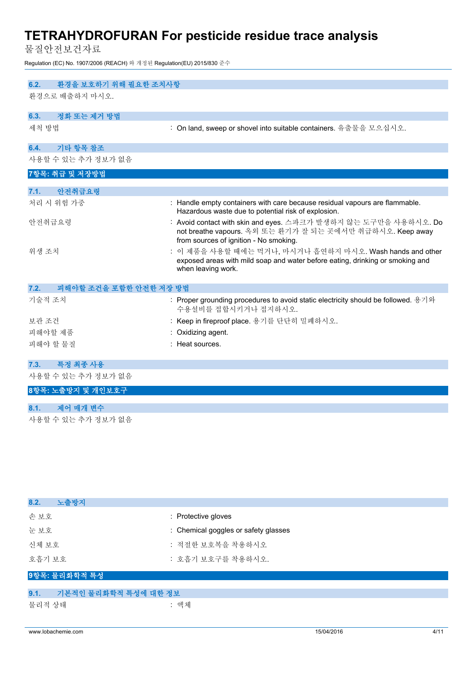물질안전보건자료

Regulation (EC) No. 1907/2006 (REACH) 와 개정된 Regulation(EU) 2015/830 준수

| 환경을 보호하기 위해 필요한 조치사항<br>6.2.   |                                                                                                                                                                        |
|--------------------------------|------------------------------------------------------------------------------------------------------------------------------------------------------------------------|
| 환경으로 배출하지 마시오.                 |                                                                                                                                                                        |
| 정화 또는 제거 방법<br>6.3.            |                                                                                                                                                                        |
| 세척 방법                          | : On land, sweep or shovel into suitable containers. 유출물을 모으십시오.                                                                                                       |
| 기타 항목 참조<br>6.4.               |                                                                                                                                                                        |
| 사용할 수 있는 추가 정보가 없음             |                                                                                                                                                                        |
| 7항목: 취급 및 저장방법                 |                                                                                                                                                                        |
| 안전취급요령<br>7.1.                 |                                                                                                                                                                        |
| 처리 시 위험 가중                     | : Handle empty containers with care because residual vapours are flammable.<br>Hazardous waste due to potential risk of explosion.                                     |
| 안전취급요령                         | : Avoid contact with skin and eyes. 스파크가 발생하지 않는 도구만을 사용하시오. Do<br>not breathe vapours. 옥외 또는 환기가 잘 되는 곳에서만 취급하시오. Keep away<br>from sources of ignition - No smoking. |
| 위생 조치                          | : 이 제품을 사용할 때에는 먹거나, 마시거나 흡연하지 마시오. Wash hands and other<br>exposed areas with mild soap and water before eating, drinking or smoking and<br>when leaving work.        |
| 7.2.<br>피해야할 조건을 포함한 안전한 저장 방법 |                                                                                                                                                                        |
| 기술적 조치                         | : Proper grounding procedures to avoid static electricity should be followed. 용기와<br>수용설비를 접합시키거나 접지하시오.                                                               |
| 보관 조건                          | : Keep in fireproof place. 용기를 단단히 밀폐하시오.                                                                                                                              |
| 피해야할 제품                        | Oxidizing agent.                                                                                                                                                       |
| 피해야 할 물질                       | : Heat sources.                                                                                                                                                        |
| 특정 최종 사용<br>7.3.               |                                                                                                                                                                        |
| 사용할 수 있는 추가 정보가 없음             |                                                                                                                                                                        |
| 8항목: 노출방지 및 개인보호구              |                                                                                                                                                                        |
| 제어 매개 변수<br>8.1.               |                                                                                                                                                                        |
| 사용할 수 있는 추가 정보가 없음             |                                                                                                                                                                        |

| 8.2.<br>노출방지                 |                                      |
|------------------------------|--------------------------------------|
| 손보호                          | : Protective gloves                  |
| 눈보호                          | : Chemical goggles or safety glasses |
| 신체 보호                        | : 적절한 보호복을 착용하시오                     |
| 호흡기 보호                       | : 호흡기 보호구를 착용하시오.                    |
| 9항목: 물리화학적 특성                |                                      |
| 기본적인 물리화학적 특성에 대한 정보<br>9.1. |                                      |
| 물리적 상태                       | : 액체                                 |
|                              |                                      |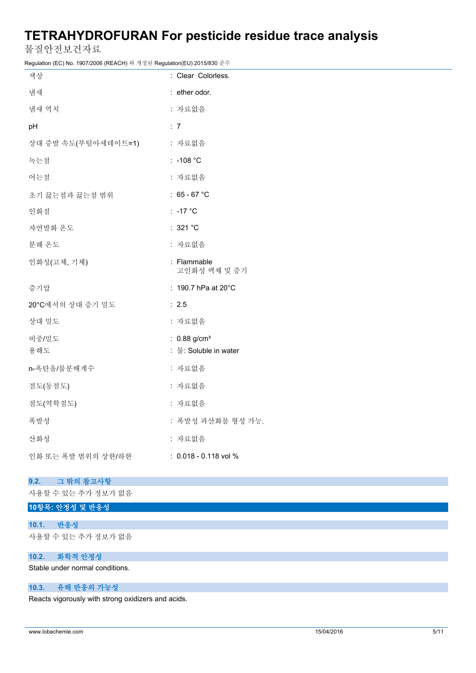물질안전보건자료

Regulation (EC) No. 1907/2006 (REACH) 와 개정된 Regulation(EU) 2015/830 준수

| 색상                  | : Clear Colorless.          |
|---------------------|-----------------------------|
| 냄새                  | : ether odor.               |
| 냄새 역치               | : 자료없음                      |
| pH                  | : 7                         |
| 상대 증발 속도(부틸아세테이트=1) | : 자료없음                      |
| 녹는점                 | $: -108 °C$                 |
| 어는점                 | : 자료없음                      |
| 초기 끓는점과 끓는점 범위      | : $65 - 67$ °C              |
| 인화점                 | $: -17 °C$                  |
| 자연발화 온도             | : 321 °C                    |
| 분해 온도               | : 자료없음                      |
| 인화성(고체, 기체)         | : Flammable<br>고인화성 액체 및 증기 |
| 증기압                 | : 190.7 hPa at 20°C         |
| 20°C에서의 상대 증기 밀도    | : 2.5                       |
| 상대 밀도               | : 자료없음                      |
| 비중/밀도               | : $0.88$ g/cm <sup>3</sup>  |
| 용해도                 | : 물: Soluble in water       |
| n-옥탄올/물분배계수         | : 자료없음                      |
| 점도(동점도)             | : 자료없음                      |
| 점도(역학점도)            | : 자료없음                      |
| 폭발성                 | : 폭발성 과산화물 형성 가능.           |
| 산화성                 | : 자료없음                      |
| 인화 또는 폭발 범위의 상한/하한  | : 0.018 - 0.118 vol %       |

## **9.2. 그 밖의 참고사항**

사용할 수 있는 추가 정보가 없음

# **10항목: 안정성 및 반응성**

## **10.1. 반응성**

사용할 수 있는 추가 정보가 없음

# **10.2. 화학적 안정성**

Stable under normal conditions.

# **10.3. 유해 반응의 가능성**

Reacts vigorously with strong oxidizers and acids.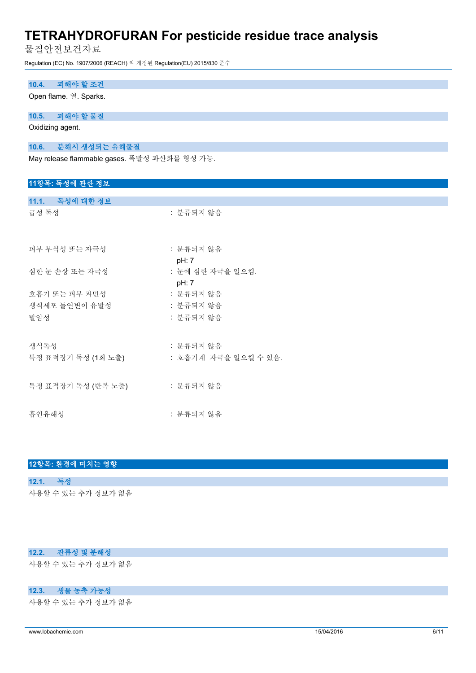물질안전보건자료

Regulation (EC) No. 1907/2006 (REACH) 와 개정된 Regulation(EU) 2015/830 준수

| 피해야 할 조건<br>10.4.                            |                      |  |
|----------------------------------------------|----------------------|--|
| Open flame. 열. Sparks.                       |                      |  |
| 10.5. 피해야 할 물질                               |                      |  |
| Oxidizing agent.                             |                      |  |
| 10.6. 분해시 생성되는 유해물질                          |                      |  |
| May release flammable gases. 폭발성 과산화물 형성 가능. |                      |  |
|                                              |                      |  |
| 11항목: 독성에 관한 정보                              |                      |  |
| 11.1. 독성에 대한 정보                              |                      |  |
| 급성 독성                                        | : 분류되지 않음            |  |
|                                              |                      |  |
| 피부 부식성 또는 자극성                                | : 분류되지 않음            |  |
|                                              | pH: 7                |  |
| 심한 눈 손상 또는 자극성                               | : 눈에 심한 자극을 일으킴.     |  |
|                                              | pH: 7                |  |
| 호흡기 또는 피부 과민성                                | : 분류되지 않음            |  |
| 생식세포 돌연변이 유발성                                | : 분류되지 않음            |  |
| 발암성                                          | : 분류되지 않음            |  |
|                                              |                      |  |
| 생식독성                                         | : 분류되지 않음            |  |
| 특정 표적장기 독성 (1회 노출)                           | : 호흡기계 자극을 일으킬 수 있음. |  |
|                                              |                      |  |
| 특정 표적장기 독성 (반복 노출)                           | : 분류되지 않음            |  |

흡인유해성 : 분류되지 않음

|          | 12항목: 환경에 미치는 영향   |
|----------|--------------------|
|          |                    |
| 12.1. 독성 |                    |
|          | 사용할 수 있는 추가 정보가 없음 |

### **12.2. 잔류성 및 분해성**

사용할 수 있는 추가 정보가 없음

## **12.3. 생물 농축 가능성**

사용할 수 있는 추가 정보가 없음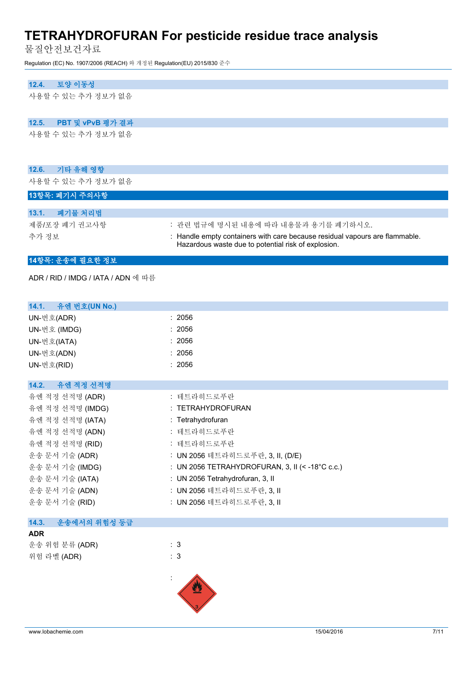물질안전보건자료

Regulation (EC) No. 1907/2006 (REACH) 와 개정된 Regulation(EU) 2015/830 준수

## **12.4. 토양 이동성**

사용할 수 있는 추가 정보가 없음

### **12.5. PBT 및 vPvB 평가 결과**

사용할 수 있는 추가 정보가 없음

## **12.6. 기타 유해 영향**

사용할 수 있는 추가 정보가 없음

## **13항목: 폐기시 주의사항**

| '폐기물 처리법'<br>13.1. |                                                                                                                                    |
|--------------------|------------------------------------------------------------------------------------------------------------------------------------|
| 제품/포장 폐기 권고사항      | : 관련 법규에 명시된 내용에 따라 내용물과 용기를 폐기하시오.                                                                                                |
| 추가 정보              | : Handle empty containers with care because residual vapours are flammable.<br>Hazardous waste due to potential risk of explosion. |

# **14항목: 운송에 필요한 정보**

ADR / RID / IMDG / IATA / ADN 에 따름

| 14.1. 유엔 번호(UN No.)   |                                                 |
|-----------------------|-------------------------------------------------|
| UN-번호(ADR)            | : 2056                                          |
| UN-번호 (IMDG)          | : 2056                                          |
| UN-번호(IATA)           | : 2056                                          |
| UN-번호(ADN)            | : 2056                                          |
| UN-번호(RID)            | : 2056                                          |
|                       |                                                 |
| 14.2. 유엔 적정 선적명       |                                                 |
| 유엔 적정 선적명 (ADR)       | : 테트라히드로푸란                                      |
| 유엔 적정 선적명 (IMDG)      | : TETRAHYDROFURAN                               |
| 유엔 적정 선적명 (IATA)      | : Tetrahydrofuran                               |
| 유엔 적정 선적명 (ADN)       | : 테트라히드로푸란                                      |
| 유엔 적정 선적명 (RID)       | : 테트라히드로푸란                                      |
| 운송 문서 기술 (ADR)        | : UN 2056 테트라히드로푸란, 3, II, (D/E)                |
| 운송 문서 기술 (IMDG)       | : UN 2056 TETRAHYDROFURAN, 3, II (< -18°C c.c.) |
| 운송 문서 기술 (IATA)       | : UN 2056 Tetrahydrofuran, 3, II                |
| 운송 문서 기술 (ADN)        | : UN 2056 테트라히드로푸란, 3, Ⅱ                        |
| 운송 문서 기술 (RID)        | : UN 2056 테트라히드로푸란, 3, II                       |
|                       |                                                 |
| 14.3.<br>운송에서의 위험성 등급 |                                                 |
| <b>ADR</b>            |                                                 |
| 운송 위험 분류 (ADR)        | $\therefore$ 3                                  |
| 위험 라벨 (ADR)           | $\therefore$ 3                                  |

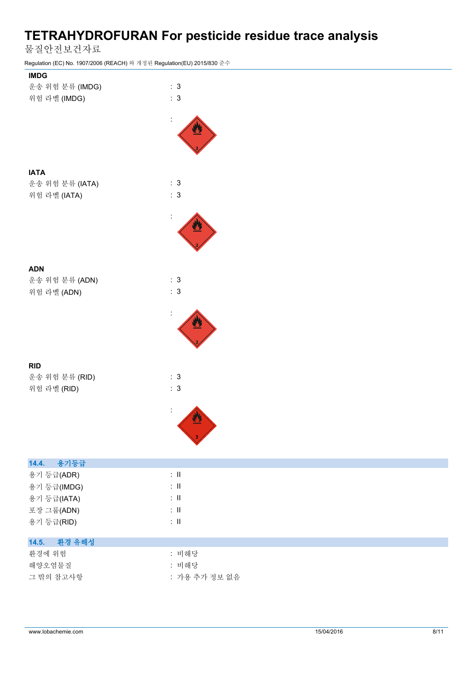물질안전보건자료

Regulation (EC) No. 1907/2006 (REACH) 와 개정된 Regulation(EU) 2015/830 준수



| 용기등급<br>14.4.   |                 |
|-----------------|-----------------|
| 용기 등급(ADR)      | $\therefore$ 11 |
| 용기 등급(IMDG)     | $\therefore$ H  |
| 용기 등급(IATA)     | $\therefore$ H  |
| 포장 그룹(ADN)      | $\therefore$ H  |
| 용기 등급(RID)      | $\therefore$ 11 |
|                 |                 |
| 14.5.<br>환경 유해성 |                 |
| 환경에 위험          | : 비해당           |
| 해양오염물질          | : 비해당           |
| 그 밖의 참고사항       | : 가용 추가 정보 없음   |
|                 |                 |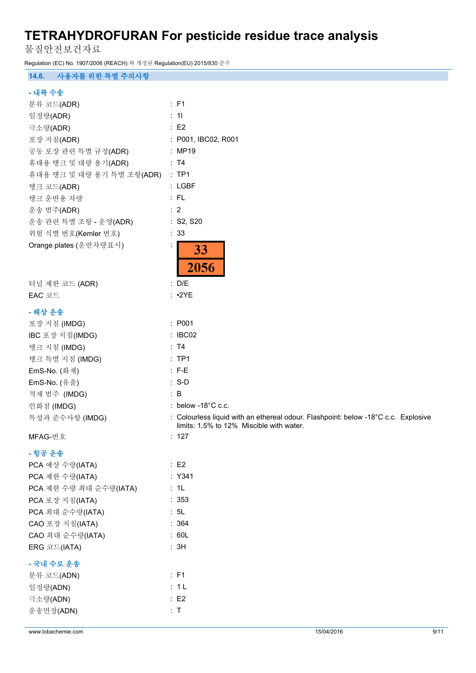물질안전보건자료

Regulation (EC) No. 1907/2006 (REACH) 와 개정된 Regulation(EU) 2015/830 준수

**14.6. 사용자를 위한 특별 주의사항**

## **- 내륙 수송**

| - 41म नह                  |                                                                                                                                |
|---------------------------|--------------------------------------------------------------------------------------------------------------------------------|
| 분류 코드(ADR)                | : F1                                                                                                                           |
| 일정량(ADR)                  | : 11                                                                                                                           |
| 극소량(ADR)                  | $\therefore$ E2                                                                                                                |
| 포장 지침(ADR)                | : P001, IBC02, R001                                                                                                            |
| 공동 포장 관련 특별 규정(ADR)       | : MP19                                                                                                                         |
| 휴대용 탱크 및 대량 용기(ADR)       | : T4                                                                                                                           |
| 휴대용 탱크 및 대량 용기 특별 조항(ADR) | $\therefore$ TP1                                                                                                               |
| 탱크 코드(ADR)                | : LGBF                                                                                                                         |
| 탱크 운반용 차량                 | :FL                                                                                                                            |
| 운송 범주(ADR)                | $\therefore$ 2                                                                                                                 |
| 운송 관련 특별 조항 - 운영(ADR)     | : S2, S20                                                                                                                      |
| 위험 식별 번호(Kemler 번호)       | : 33                                                                                                                           |
| Orange plates (운반차량표시)    | 33<br>2056                                                                                                                     |
| 터널 제한 코드 (ADR)            | : D/E                                                                                                                          |
| EAC 코드                    | $:$ •2YE                                                                                                                       |
| - 해상 운송                   |                                                                                                                                |
| 포장 지침 (IMDG)              | : P001                                                                                                                         |
| IBC 포장 지침(IMDG)           | : IBCO2                                                                                                                        |
| 탱크 지침 (IMDG)              | : T4                                                                                                                           |
| 탱크 특별 지침 (IMDG)           | :TP1                                                                                                                           |
| EmS-No. (화재)              | $: F-E$                                                                                                                        |
| EmS-No. (유출)              | $: S-D$                                                                                                                        |
| 적재 범주 (IMDG)              | $\therefore$ B                                                                                                                 |
| 인화점 (IMDG)                | : below -18 $^{\circ}$ C c.c.                                                                                                  |
| 특성과 준수사항 (IMDG)           | : Colourless liquid with an ethereal odour. Flashpoint: below -18°C c.c. Explosive<br>limits: 1.5% to 12% Miscible with water. |
| MFAG-번호                   | : 127                                                                                                                          |
| - 항공 운송                   |                                                                                                                                |
| PCA 예상 수량(IATA)           | : E2                                                                                                                           |
| PCA 제한 수량(IATA)           | : Y341                                                                                                                         |
| PCA 제한 수량 최대 순수량(IATA)    | : 1L                                                                                                                           |
| PCA 포장 지침(IATA)           | : 353                                                                                                                          |
| PCA 최대 순수량(IATA)          | : 5L                                                                                                                           |
| CAO 포장 지침(IATA)           | : 364                                                                                                                          |
| CAO 최대 순수량(IATA)          | : 60L                                                                                                                          |
| ERG 코드(IATA)              | : 3H                                                                                                                           |
| - 국내 수로 운송                |                                                                                                                                |
| 분류 코드(ADN)                | : F1                                                                                                                           |
| 일정량(ADN)                  | : 1L                                                                                                                           |
| 극소량(ADN)                  | : E2                                                                                                                           |
| 운송면장(ADN)                 | : T                                                                                                                            |
|                           |                                                                                                                                |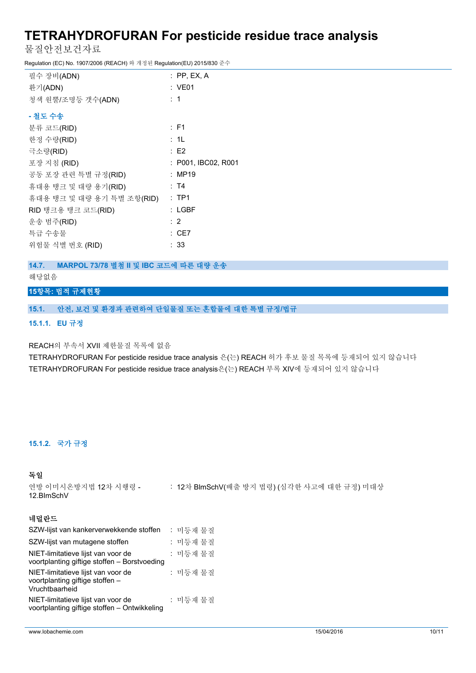물질안전보건자료

Regulation (EC) No. 1907/2006 (REACH) 와 개정된 Regulation(EU) 2015/830 준수

| 필수 장비(ADN)                | $:$ PP, EX, A       |
|---------------------------|---------------------|
| 환기(ADN)                   | : VE01              |
| 청색 원뿔/조명등 갯수(ADN)         | :1                  |
| - 철도 수송                   |                     |
| 분류 코드(RID)                | $:$ F1              |
| 한정 수량(RID)                | : 1L                |
| 극소량(RID)                  | E2                  |
| 포장 지침 (RID)               | : P001, IBC02, R001 |
| 공동 포장 관련 특별 규정(RID)       | : MP19              |
| 휴대용 탱크 및 대량 용기(RID)       | : T4                |
| 휴대용 탱크 및 대량 용기 특별 조항(RID) | $:$ TP1             |
| RID 탱크용 탱크 코드(RID)        | $:$ LGBF            |
| 운송 범주(RID)                | : 2                 |
| 특급 수송물                    | $\therefore$ CE7    |
| 위험물 식별 번호 (RID)           | : 33                |

### **14.7. MARPOL 73/78 별첨 II 및 IBC 코드에 따른 대량 운송**

해당없음

## **15항목: 법적 규제현황**

### **15.1. 안전, 보건 및 환경과 관련하여 단일물질 또는 혼합물에 대한 특별 규정/법규**

#### **15.1.1. EU 규정**

#### REACH의 부속서 XVII 제한물질 목록에 없음

TETRAHYDROFURAN For pesticide residue trace analysis 은(는) REACH 허가 후보 물질 목록에 등재되어 있지 않습니다 TETRAHYDROFURAN For pesticide residue trace analysis은(는) REACH 부록 XIV에 등재되어 있지 않습니다

## **15.1.2. 국가 규정**

## **독일**

연방 이미시온방지법 12차 시행령 - : 12차 BlmSchV(배출 방지 법령) (심각한 사고에 대한 규정) 미대상 12.BImSchV

#### **네덜란드**

| SZW-lijst van kankerverwekkende stoffen                                                 | : 미등재 물질 |
|-----------------------------------------------------------------------------------------|----------|
| SZW-lijst van mutagene stoffen                                                          | : 미등재 물질 |
| NIET-limitatieve lijst van voor de<br>voortplanting giftige stoffen - Borstvoeding      | : 미등재 물질 |
| NIET-limitatieve lijst van voor de<br>voortplanting giftige stoffen -<br>Vruchtbaarheid | : 미등재 물질 |
| NIET-limitatieve lijst van voor de<br>voortplanting giftige stoffen - Ontwikkeling      | : 미등재 물질 |